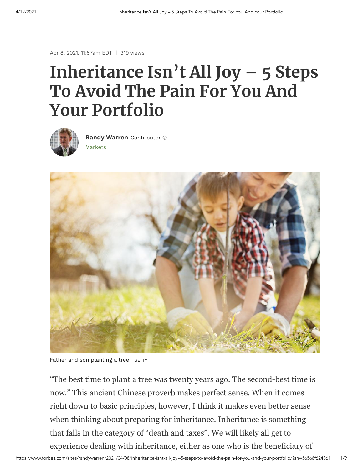Apr 8, 2021, 11:57am EDT | 319 views

## **Inheritance Isn't All Joy – 5 Steps To Avoid The Pain For You And Your Portfolio**



[Markets](https://www.forbes.com/markets) **[Randy Warren](https://www.forbes.com/sites/randywarren/)** Contributor



Father and son planting a tree GETTY

"The best time to plant a tree was twenty years ago. The second-best time is now." This ancient Chinese proverb makes perfect sense. When it comes right down to basic principles, however, I think it makes even better sense when thinking about preparing for inheritance. Inheritance is something that falls in the category of "death and taxes". We will likely all get to experience dealing with inheritance, either as one who is the beneficiary of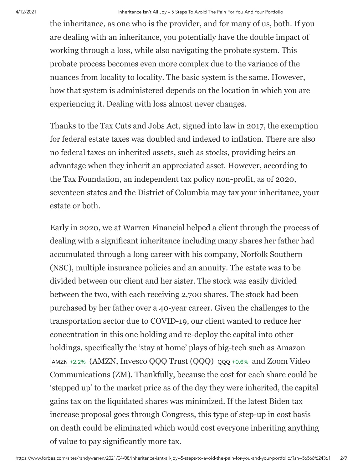4/12/2021 Inheritance Isn't All Joy – 5 Steps To Avoid The Pain For You And Your Portfolio

the inheritance, as one who is the provider, and for many of us, both. If you are dealing with an inheritance, you potentially have the double impact of working through a loss, while also navigating the probate system. This probate process becomes even more complex due to the variance of the nuances from locality to locality. The basic system is the same. However, how that system is administered depends on the location in which you are experiencing it. Dealing with loss almost never changes.

Thanks to the Tax Cuts and Jobs Act, signed into law in 2017, the exemption for federal estate taxes was doubled and indexed to inflation. There are also no federal taxes on inherited assets, such as stocks, providing heirs an advantage when they inherit an appreciated asset. However, according to the Tax Foundation, an independent tax policy non-profit, as of 2020, seventeen states and the District of Columbia may tax your inheritance, your estate or both.

Early in 2020, we at Warren Financial helped a client through the process of dealing with a significant inheritance including many shares her father had accumulated through a long career with his company, Norfolk Southern (NSC), multiple insurance policies and an annuity. The estate was to be divided between our client and her sister. The stock was easily divided between the two, with each receiving 2,700 shares. The stock had been purchased by her father over a 40-year career. Given the challenges to the transportation sector due to COVID-19, our client wanted to reduce her concentration in this one holding and re-deploy the capital into other holdings, specifically the 'stay at home' plays of big-tech such as Amazon [AMZN](https://www.forbes.com/companies/amazon) [+2.2%](https://www.forbes.com/companies/amazon) (AMZN, Invesco QQQ Trust (QQQ) [QQQ +0.6%](https://www.forbes.com/investment-funds/qqq/) and Zoom Video Communications (ZM). Thankfully, because the cost for each share could be 'stepped up' to the market price as of the day they were inherited, the capital gains tax on the liquidated shares was minimized. If the latest Biden tax increase proposal goes through Congress, this type of step-up in cost basis on death could be eliminated which would cost everyone inheriting anything of value to pay significantly more tax.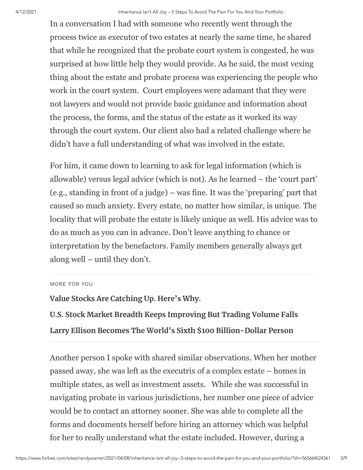In a conversation I had with someone who recently went through the process twice as executor of two estates at nearly the same time, he shared that while he recognized that the probate court system is congested, he was surprised at how little help they would provide. As he said, the most vexing thing about the estate and probate process was experiencing the people who work in the court system. Court employees were adamant that they were not lawyers and would not provide basic guidance and information about the process, the forms, and the status of the estate as it worked its way through the court system. Our client also had a related challenge where he didn't have a full understanding of what was involved in the estate.

For him, it came down to learning to ask for legal information (which is allowable) versus legal advice (which is not). As he learned – the 'court part' (e.g., standing in front of a judge) – was fine. It was the 'preparing' part that caused so much anxiety. Every estate, no matter how similar, is unique. The locality that will probate the estate is likely unique as well. His advice was to do as much as you can in advance. Don't leave anything to chance or interpretation by the benefactors. Family members generally always get along well – until they don't.

MORE FOR YOU

**[Value Stocks Are Catching Up. Here's Why.](https://www.forbes.com/sites/robisbitts2/2021/04/08/value-stocks-are-catching-up--heres-why/)**

**[U.S. Stock Market Breadth Keeps Improving But Trading Volume Falls](https://www.forbes.com/sites/naeemaslam/2021/04/08/us-stock-market-breadth-keeps-improving-but-trading-volume-falls/) [Larry Ellison Becomes The World's Sixth \\$100 Billion-Dollar Person](https://www.forbes.com/sites/sergeiklebnikov/2021/04/08/larry-ellison-briefly-becomes-the-worlds-sixth-100-billion-dollar-person/)**

Another person I spoke with shared similar observations. When her mother passed away, she was left as the executrix of a complex estate – homes in multiple states, as well as investment assets. While she was successful in navigating probate in various jurisdictions, her number one piece of advice would be to contact an attorney sooner. She was able to complete all the forms and documents herself before hiring an attorney which was helpful for her to really understand what the estate included. However, during a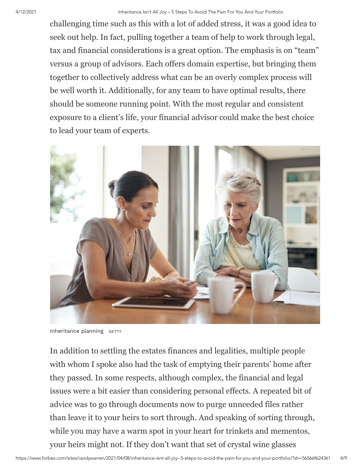4/12/2021 Inheritance Isn't All Joy – 5 Steps To Avoid The Pain For You And Your Portfolio

challenging time such as this with a lot of added stress, it was a good idea to seek out help. In fact, pulling together a team of help to work through legal, tax and financial considerations is a great option. The emphasis is on "team" versus a group of advisors. Each offers domain expertise, but bringing them together to collectively address what can be an overly complex process will be well worth it. Additionally, for any team to have optimal results, there should be someone running point. With the most regular and consistent exposure to a client's life, your financial advisor could make the best choice to lead your team of experts.



Inheritance planning GETTY

In addition to settling the estates finances and legalities, multiple people with whom I spoke also had the task of emptying their parents' home after they passed. In some respects, although complex, the financial and legal issues were a bit easier than considering personal effects. A repeated bit of advice was to go through documents now to purge unneeded files rather than leave it to your heirs to sort through. And speaking of sorting through, while you may have a warm spot in your heart for trinkets and mementos, your heirs might not. If they don't want that set of crystal wine glasses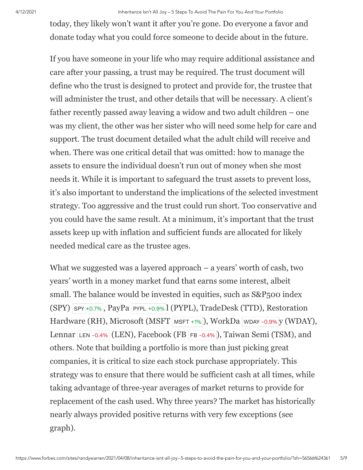4/12/2021 Inheritance Isn't All Joy – 5 Steps To Avoid The Pain For You And Your Portfolio

today, they likely won't want it after you're gone. Do everyone a favor and donate today what you could force someone to decide about in the future.

If you have someone in your life who may require additional assistance and care after your passing, a trust may be required. The trust document will define who the trust is designed to protect and provide for, the trustee that will administer the trust, and other details that will be necessary. A client's father recently passed away leaving a widow and two adult children – one was my client, the other was her sister who will need some help for care and support. The trust document detailed what the adult child will receive and when. There was one critical detail that was omitted: how to manage the assets to ensure the individual doesn't run out of money when she most needs it. While it is important to safeguard the trust assets to prevent loss, it's also important to understand the implications of the selected investment strategy. Too aggressive and the trust could run short. Too conservative and you could have the same result. At a minimum, it's important that the trust assets keep up with inflation and sufficient funds are allocated for likely needed medical care as the trustee ages.

What we suggested was a layered approach – a years' worth of cash, two years' worth in a money market fund that earns some interest, albeit small. The balance would be invested in equities, such as S&P500 index (SPY) [SPY +0.7%](https://www.forbes.com/investment-funds/spy/) , PayPa [PYPL +0.9%](https://www.forbes.com/companies/paypal) l (PYPL), TradeDesk (TTD), Restoration Hardware (RH), Microsoft (MSFT [MSFT +1%](https://www.forbes.com/companies/microsoft)), WorkDa [WDAY -0.9%](https://www.forbes.com/companies/workday) y (WDAY), Lennar [LEN -0.4%](https://www.forbes.com/companies/lennar) (LEN), Facebook (FB [FB -0.4%](https://www.forbes.com/companies/facebook)), Taiwan Semi (TSM), and others. Note that building a portfolio is more than just picking great companies, it is critical to size each stock purchase appropriately. This strategy was to ensure that there would be sufficient cash at all times, while taking advantage of three-year averages of market returns to provide for replacement of the cash used. Why three years? The market has historically nearly always provided positive returns with very few exceptions (see graph).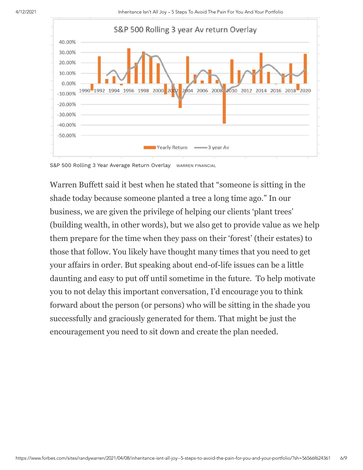

S&P 500 Rolling 3 Year Average Return Overlay WARREN FINANCIAL

Warren Buffett said it best when he stated that "someone is sitting in the shade today because someone planted a tree a long time ago." In our business, we are given the privilege of helping our clients 'plant trees' (building wealth, in other words), but we also get to provide value as we help them prepare for the time when they pass on their 'forest' (their estates) to those that follow. You likely have thought many times that you need to get your affairs in order. But speaking about end-of-life issues can be a little daunting and easy to put off until sometime in the future. To help motivate you to not delay this important conversation, I'd encourage you to think forward about the person (or persons) who will be sitting in the shade you successfully and graciously generated for them. That might be just the encouragement you need to sit down and create the plan needed.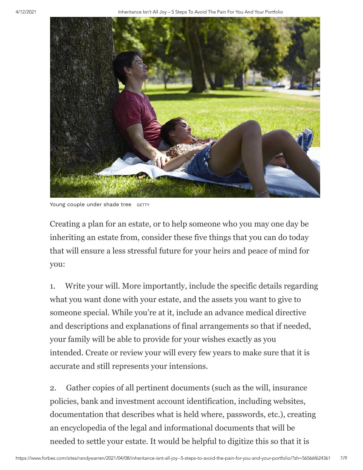

Young couple under shade tree GETTY

Creating a plan for an estate, or to help someone who you may one day be inheriting an estate from, consider these five things that you can do today that will ensure a less stressful future for your heirs and peace of mind for you:

1. Write your will. More importantly, include the specific details regarding what you want done with your estate, and the assets you want to give to someone special. While you're at it, include an advance medical directive and descriptions and explanations of final arrangements so that if needed, your family will be able to provide for your wishes exactly as you intended. Create or review your will every few years to make sure that it is accurate and still represents your intensions.

2. Gather copies of all pertinent documents (such as the will, insurance policies, bank and investment account identification, including websites, documentation that describes what is held where, passwords, etc.), creating an encyclopedia of the legal and informational documents that will be needed to settle your estate. It would be helpful to digitize this so that it is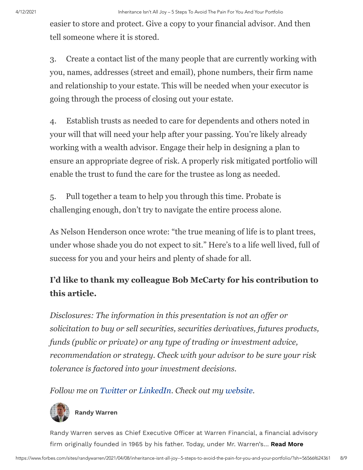easier to store and protect. Give a copy to your financial advisor. And then tell someone where it is stored.

3. Create a contact list of the many people that are currently working with you, names, addresses (street and email), phone numbers, their firm name and relationship to your estate. This will be needed when your executor is going through the process of closing out your estate.

4. Establish trusts as needed to care for dependents and others noted in your will that will need your help after your passing. You're likely already working with a wealth advisor. Engage their help in designing a plan to ensure an appropriate degree of risk. A properly risk mitigated portfolio will enable the trust to fund the care for the trustee as long as needed.

5. Pull together a team to help you through this time. Probate is challenging enough, don't try to navigate the entire process alone.

As Nelson Henderson once wrote: "the true meaning of life is to plant trees, under whose shade you do not expect to sit." Here's to a life well lived, full of success for you and your heirs and plenty of shade for all.

## **I'd like to thank my colleague Bob McCarty for his contribution to this article.**

*Disclosures: The information in this presentation is not an offer or solicitation to buy or sell securities, securities derivatives, futures products, funds (public or private) or any type of trading or investment advice, recommendation or strategy. Check with your advisor to be sure your risk tolerance is factored into your investment decisions.*

*Follow me on [Twitter](https://www.twitter.com/WarrenFinancial) or [LinkedIn](https://www.linkedin.com/in/randywarren-warrenfinancial/). Check out my [website](https://warrenfinancial.com/).* 



Randy Warren serves as Chief Executive Officer at Warren Financial, a financial advisory firm originally founded in 1965 by his father. Today, under Mr. Warren's... Read More